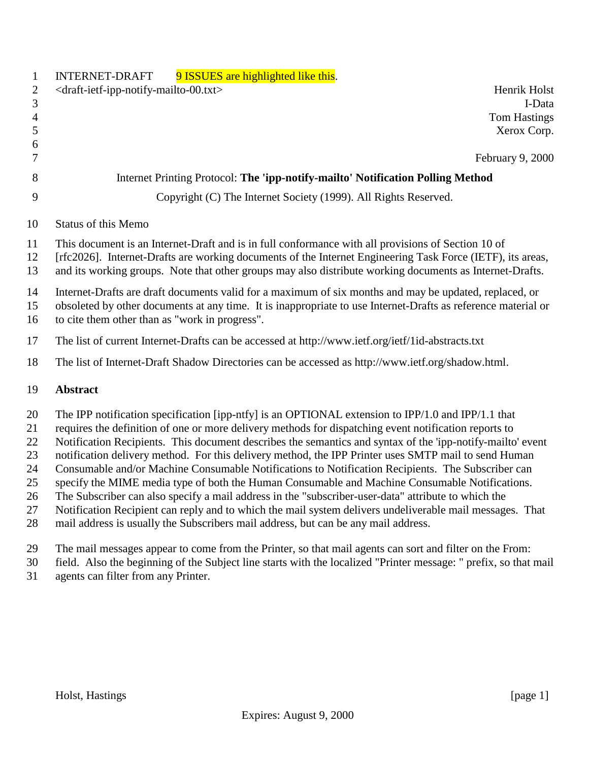| $\mathbf{1}$                                       | 9 ISSUES are highlighted like this.<br><b>INTERNET-DRAFT</b>                                                                                                                                                                                                                                                                                                                                                                                                                                                                                                                                                                                                                                                                                                                                                                                                                                                                                      |  |
|----------------------------------------------------|---------------------------------------------------------------------------------------------------------------------------------------------------------------------------------------------------------------------------------------------------------------------------------------------------------------------------------------------------------------------------------------------------------------------------------------------------------------------------------------------------------------------------------------------------------------------------------------------------------------------------------------------------------------------------------------------------------------------------------------------------------------------------------------------------------------------------------------------------------------------------------------------------------------------------------------------------|--|
| $\overline{2}$                                     | <draft-ietf-ipp-notify-mailto-00.txt><br/>Henrik Holst</draft-ietf-ipp-notify-mailto-00.txt>                                                                                                                                                                                                                                                                                                                                                                                                                                                                                                                                                                                                                                                                                                                                                                                                                                                      |  |
| 3                                                  | I-Data                                                                                                                                                                                                                                                                                                                                                                                                                                                                                                                                                                                                                                                                                                                                                                                                                                                                                                                                            |  |
| $\overline{4}$                                     | <b>Tom Hastings</b>                                                                                                                                                                                                                                                                                                                                                                                                                                                                                                                                                                                                                                                                                                                                                                                                                                                                                                                               |  |
| $\mathfrak{S}$<br>6                                | Xerox Corp.                                                                                                                                                                                                                                                                                                                                                                                                                                                                                                                                                                                                                                                                                                                                                                                                                                                                                                                                       |  |
| 7                                                  | February 9, 2000                                                                                                                                                                                                                                                                                                                                                                                                                                                                                                                                                                                                                                                                                                                                                                                                                                                                                                                                  |  |
| 8                                                  | Internet Printing Protocol: The 'ipp-notify-mailto' Notification Polling Method                                                                                                                                                                                                                                                                                                                                                                                                                                                                                                                                                                                                                                                                                                                                                                                                                                                                   |  |
| 9                                                  | Copyright (C) The Internet Society (1999). All Rights Reserved.                                                                                                                                                                                                                                                                                                                                                                                                                                                                                                                                                                                                                                                                                                                                                                                                                                                                                   |  |
| 10                                                 | <b>Status of this Memo</b>                                                                                                                                                                                                                                                                                                                                                                                                                                                                                                                                                                                                                                                                                                                                                                                                                                                                                                                        |  |
| 11<br>12<br>13                                     | This document is an Internet-Draft and is in full conformance with all provisions of Section 10 of<br>[rfc2026]. Internet-Drafts are working documents of the Internet Engineering Task Force (IETF), its areas,<br>and its working groups. Note that other groups may also distribute working documents as Internet-Drafts.                                                                                                                                                                                                                                                                                                                                                                                                                                                                                                                                                                                                                      |  |
| 14<br>15<br>16                                     | Internet-Drafts are draft documents valid for a maximum of six months and may be updated, replaced, or<br>obsoleted by other documents at any time. It is inappropriate to use Internet-Drafts as reference material or<br>to cite them other than as "work in progress".                                                                                                                                                                                                                                                                                                                                                                                                                                                                                                                                                                                                                                                                         |  |
| 17                                                 | The list of current Internet-Drafts can be accessed at http://www.ietf.org/ietf/1id-abstracts.txt                                                                                                                                                                                                                                                                                                                                                                                                                                                                                                                                                                                                                                                                                                                                                                                                                                                 |  |
| 18                                                 | The list of Internet-Draft Shadow Directories can be accessed as http://www.ietf.org/shadow.html.                                                                                                                                                                                                                                                                                                                                                                                                                                                                                                                                                                                                                                                                                                                                                                                                                                                 |  |
| 19                                                 | <b>Abstract</b>                                                                                                                                                                                                                                                                                                                                                                                                                                                                                                                                                                                                                                                                                                                                                                                                                                                                                                                                   |  |
| 20<br>21<br>22<br>23<br>24<br>25<br>26<br>27<br>28 | The IPP notification specification [ipp-ntfy] is an OPTIONAL extension to IPP/1.0 and IPP/1.1 that<br>requires the definition of one or more delivery methods for dispatching event notification reports to<br>Notification Recipients. This document describes the semantics and syntax of the 'ipp-notify-mailto' event<br>notification delivery method. For this delivery method, the IPP Printer uses SMTP mail to send Human<br>Consumable and/or Machine Consumable Notifications to Notification Recipients. The Subscriber can<br>specify the MIME media type of both the Human Consumable and Machine Consumable Notifications.<br>The Subscriber can also specify a mail address in the "subscriber-user-data" attribute to which the<br>Notification Recipient can reply and to which the mail system delivers undeliverable mail messages. That<br>mail address is usually the Subscribers mail address, but can be any mail address. |  |
|                                                    |                                                                                                                                                                                                                                                                                                                                                                                                                                                                                                                                                                                                                                                                                                                                                                                                                                                                                                                                                   |  |

- 29 The mail messages appear to come from the Printer, so that mail agents can sort and filter on the From:<br>30 field. Also the beginning of the Subject line starts with the localized "Printer message: " prefix, so that
- field. Also the beginning of the Subject line starts with the localized "Printer message: " prefix, so that mail agents can filter from any Printer.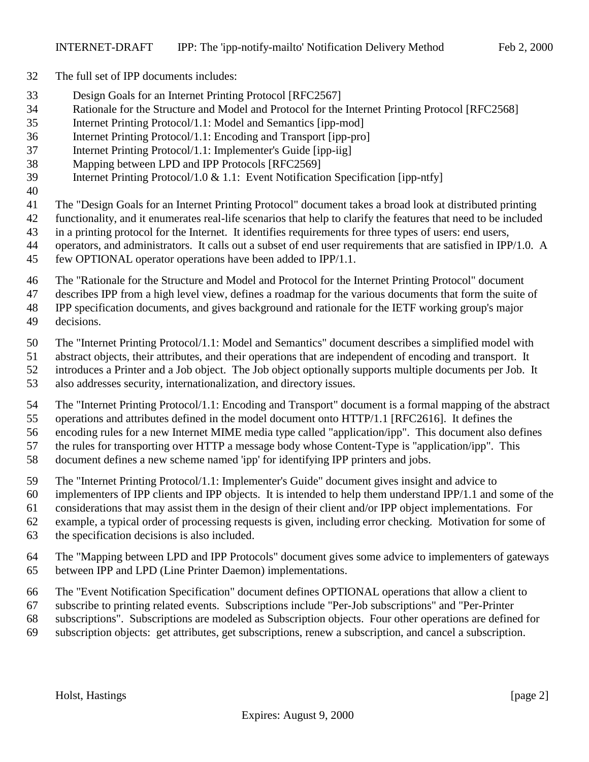- The full set of IPP documents includes:
- Design Goals for an Internet Printing Protocol [RFC2567]
- Rationale for the Structure and Model and Protocol for the Internet Printing Protocol [RFC2568]
- Internet Printing Protocol/1.1: Model and Semantics [ipp-mod]
- Internet Printing Protocol/1.1: Encoding and Transport [ipp-pro]
- Internet Printing Protocol/1.1: Implementer's Guide [ipp-iig]
- Mapping between LPD and IPP Protocols [RFC2569]
- Internet Printing Protocol/1.0 & 1.1: Event Notification Specification [ipp-ntfy]
- 
- The "Design Goals for an Internet Printing Protocol" document takes a broad look at distributed printing
- functionality, and it enumerates real-life scenarios that help to clarify the features that need to be included
- in a printing protocol for the Internet. It identifies requirements for three types of users: end users,
- operators, and administrators. It calls out a subset of end user requirements that are satisfied in IPP/1.0. A
- few OPTIONAL operator operations have been added to IPP/1.1.
- The "Rationale for the Structure and Model and Protocol for the Internet Printing Protocol" document
- describes IPP from a high level view, defines a roadmap for the various documents that form the suite of
- IPP specification documents, and gives background and rationale for the IETF working group's major
- decisions.
- The "Internet Printing Protocol/1.1: Model and Semantics" document describes a simplified model with
- abstract objects, their attributes, and their operations that are independent of encoding and transport. It
- introduces a Printer and a Job object. The Job object optionally supports multiple documents per Job. It
- also addresses security, internationalization, and directory issues.
- The "Internet Printing Protocol/1.1: Encoding and Transport" document is a formal mapping of the abstract operations and attributes defined in the model document onto HTTP/1.1 [RFC2616]. It defines the
- encoding rules for a new Internet MIME media type called "application/ipp". This document also defines the rules for transporting over HTTP a message body whose Content-Type is "application/ipp". This
- document defines a new scheme named 'ipp' for identifying IPP printers and jobs.
- The "Internet Printing Protocol/1.1: Implementer's Guide" document gives insight and advice to
- implementers of IPP clients and IPP objects. It is intended to help them understand IPP/1.1 and some of the
- considerations that may assist them in the design of their client and/or IPP object implementations. For
- example, a typical order of processing requests is given, including error checking. Motivation for some of
- the specification decisions is also included.
- The "Mapping between LPD and IPP Protocols" document gives some advice to implementers of gateways between IPP and LPD (Line Printer Daemon) implementations.
- The "Event Notification Specification" document defines OPTIONAL operations that allow a client to
- subscribe to printing related events. Subscriptions include "Per-Job subscriptions" and "Per-Printer
- subscriptions". Subscriptions are modeled as Subscription objects. Four other operations are defined for
- subscription objects: get attributes, get subscriptions, renew a subscription, and cancel a subscription.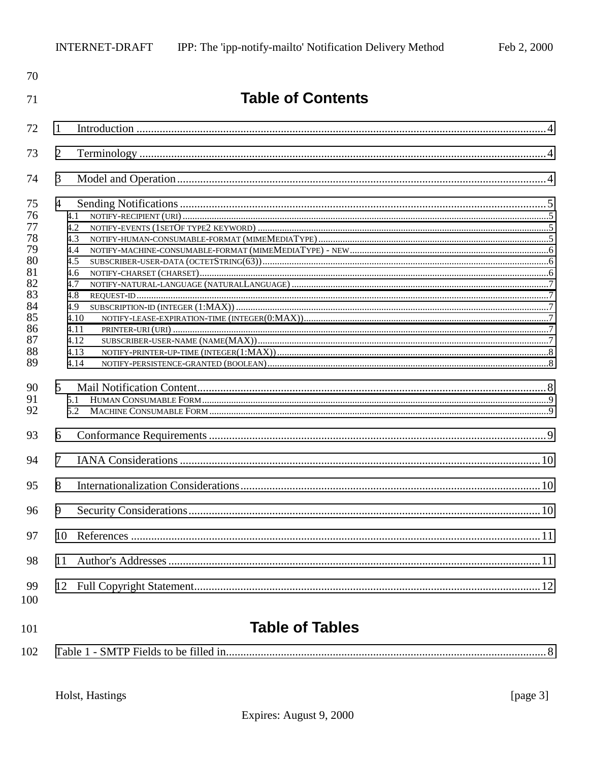| 70                                                                                     |                                                                                                                       |  |
|----------------------------------------------------------------------------------------|-----------------------------------------------------------------------------------------------------------------------|--|
| 71                                                                                     | <b>Table of Contents</b>                                                                                              |  |
| 72                                                                                     | 1                                                                                                                     |  |
| 73                                                                                     | $\overline{2}$                                                                                                        |  |
| 74                                                                                     | 3                                                                                                                     |  |
| 75<br>76<br>77<br>78<br>79<br>80<br>81<br>82<br>83<br>84<br>85<br>86<br>87<br>88<br>89 | $\overline{4}$<br>4.1<br>4.2<br>4.3<br>4.4<br>4.5<br>4.6<br>4.7<br>4.8<br>4.9<br>4.10<br>4.11<br>4.12<br>4.13<br>4.14 |  |
| 90<br>91<br>92                                                                         | $\mathfrak{S}$<br>5.1<br>5.2                                                                                          |  |
| 93                                                                                     | 6                                                                                                                     |  |
| 94                                                                                     | $\tau$                                                                                                                |  |
| 95                                                                                     | 8                                                                                                                     |  |
| 96                                                                                     | 9                                                                                                                     |  |
| 97                                                                                     | 10                                                                                                                    |  |
| 98                                                                                     | 11                                                                                                                    |  |
| 99<br>100                                                                              |                                                                                                                       |  |
| 101                                                                                    | <b>Table of Tables</b>                                                                                                |  |

| 102 |  |
|-----|--|
|-----|--|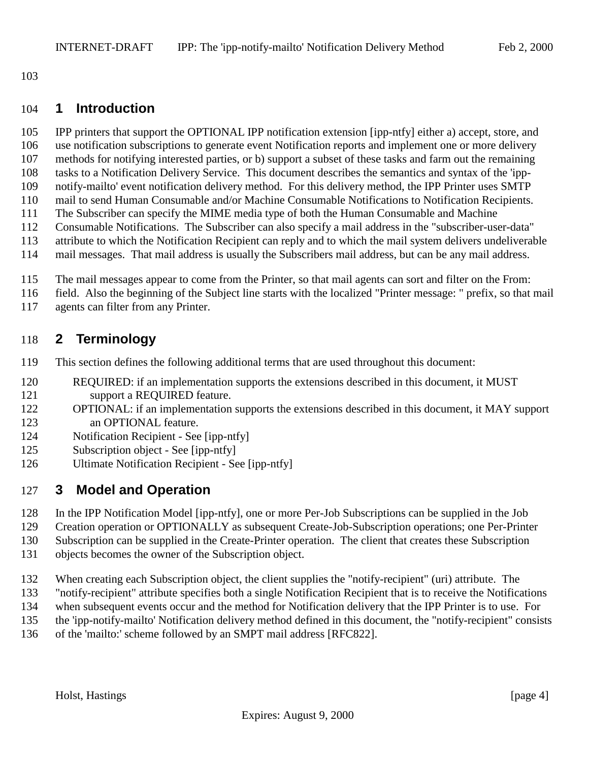<span id="page-3-0"></span>

#### **1 Introduction**

IPP printers that support the OPTIONAL IPP notification extension [ipp-ntfy] either a) accept, store, and

use notification subscriptions to generate event Notification reports and implement one or more delivery

- methods for notifying interested parties, or b) support a subset of these tasks and farm out the remaining
- tasks to a Notification Delivery Service. This document describes the semantics and syntax of the 'ipp-notify-mailto' event notification delivery method. For this delivery method, the IPP Printer uses SMTP
- mail to send Human Consumable and/or Machine Consumable Notifications to Notification Recipients.
- The Subscriber can specify the MIME media type of both the Human Consumable and Machine
- Consumable Notifications. The Subscriber can also specify a mail address in the "subscriber-user-data"
- attribute to which the Notification Recipient can reply and to which the mail system delivers undeliverable
- mail messages. That mail address is usually the Subscribers mail address, but can be any mail address.
- The mail messages appear to come from the Printer, so that mail agents can sort and filter on the From:
- field. Also the beginning of the Subject line starts with the localized "Printer message: " prefix, so that mail
- agents can filter from any Printer.

# **2 Terminology**

- This section defines the following additional terms that are used throughout this document:
- REQUIRED: if an implementation supports the extensions described in this document, it MUST 121 support a REQUIRED feature.
- OPTIONAL: if an implementation supports the extensions described in this document, it MAY support 123 an OPTIONAL feature.
- Notification Recipient See [ipp-ntfy]
- Subscription object See [ipp-ntfy]
- Ultimate Notification Recipient See [ipp-ntfy]

# **3 Model and Operation**

- In the IPP Notification Model [ipp-ntfy], one or more Per-Job Subscriptions can be supplied in the Job
- Creation operation or OPTIONALLY as subsequent Create-Job-Subscription operations; one Per-Printer
- Subscription can be supplied in the Create-Printer operation. The client that creates these Subscription
- objects becomes the owner of the Subscription object.
- When creating each Subscription object, the client supplies the "notify-recipient" (uri) attribute. The
- "notify-recipient" attribute specifies both a single Notification Recipient that is to receive the Notifications
- when subsequent events occur and the method for Notification delivery that the IPP Printer is to use. For
- the 'ipp-notify-mailto' Notification delivery method defined in this document, the "notify-recipient" consists
- of the 'mailto:' scheme followed by an SMPT mail address [RFC822].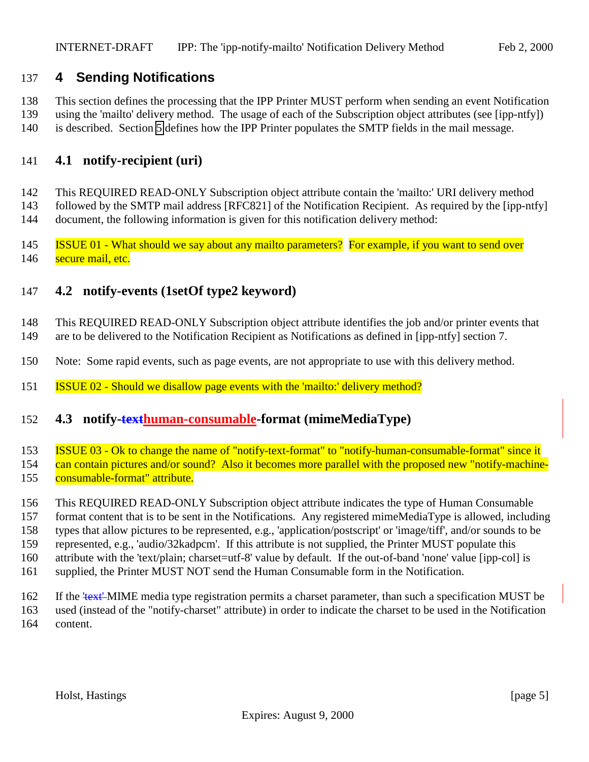# <span id="page-4-0"></span>**4 Sending Notifications**

 This section defines the processing that the IPP Printer MUST perform when sending an event Notification using the 'mailto' delivery method. The usage of each of the Subscription object attributes (see [ipp-ntfy])

is described. Section [5](#page-7-0) defines how the IPP Printer populates the SMTP fields in the mail message.

#### **4.1 notify-recipient (uri)**

 This REQUIRED READ-ONLY Subscription object attribute contain the 'mailto:' URI delivery method followed by the SMTP mail address [RFC821] of the Notification Recipient. As required by the [ipp-ntfy] document, the following information is given for this notification delivery method:

 ISSUE 01 - What should we say about any mailto parameters? For example, if you want to send over 146 secure mail, etc.

#### **4.2 notify-events (1setOf type2 keyword)**

 This REQUIRED READ-ONLY Subscription object attribute identifies the job and/or printer events that are to be delivered to the Notification Recipient as Notifications as defined in [ipp-ntfy] section 7.

- Note: Some rapid events, such as page events, are not appropriate to use with this delivery method.
- ISSUE 02 Should we disallow page events with the 'mailto:' delivery method?

#### **4.3 notify-texthuman-consumable-format (mimeMediaType)**

 ISSUE 03 - Ok to change the name of "notify-text-format" to "notify-human-consumable-format" since it 154 can contain pictures and/or sound? Also it becomes more parallel with the proposed new "notify-machine-

155 consumable-format" attribute.

This REQUIRED READ-ONLY Subscription object attribute indicates the type of Human Consumable

 format content that is to be sent in the Notifications. Any registered mimeMediaType is allowed, including types that allow pictures to be represented, e.g., 'application/postscript' or 'image/tiff', and/or sounds to be

represented, e.g., 'audio/32kadpcm'. If this attribute is not supplied, the Printer MUST populate this

- 160 attribute with the 'text/plain; charset=utf-8' value by default. If the out-of-band 'none' value [ipp-col] is
- supplied, the Printer MUST NOT send the Human Consumable form in the Notification.
- 162 If the <del>'text'</del> MIME media type registration permits a charset parameter, than such a specification MUST be used (instead of the "notify-charset" attribute) in order to indicate the charset to be used in the Notification content.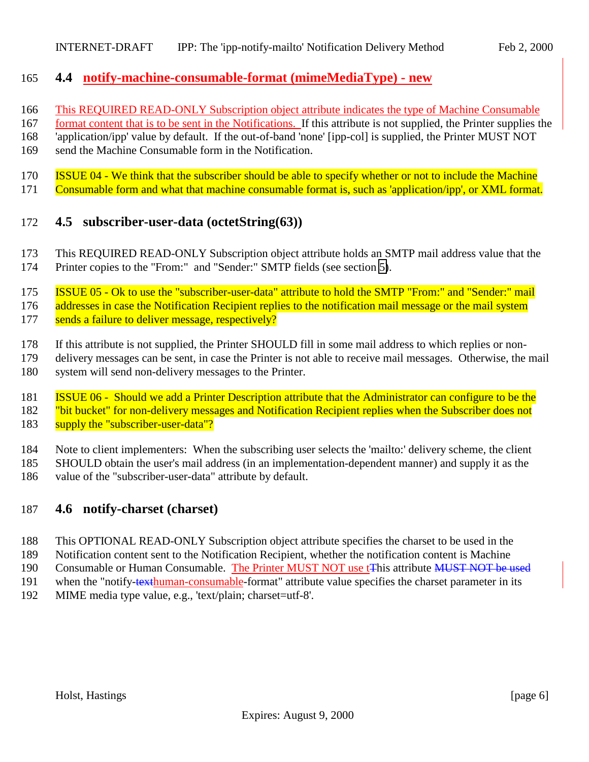#### <span id="page-5-0"></span>**4.4 notify-machine-consumable-format (mimeMediaType) - new**

- This REQUIRED READ-ONLY Subscription object attribute indicates the type of Machine Consumable
- format content that is to be sent in the Notifications. If this attribute is not supplied, the Printer supplies the
- 'application/ipp' value by default. If the out-of-band 'none' [ipp-col] is supplied, the Printer MUST NOT
- send the Machine Consumable form in the Notification.
- ISSUE 04 We think that the subscriber should be able to specify whether or not to include the Machine
- Consumable form and what that machine consumable format is, such as 'application/ipp', or XML format.

# **4.5 subscriber-user-data (octetString(63))**

 This REQUIRED READ-ONLY Subscription object attribute holds an SMTP mail address value that the Printer copies to the "From:" and "Sender:" SMTP fields (see section [5\)](#page-7-0).

 ISSUE 05 - Ok to use the "subscriber-user-data" attribute to hold the SMTP "From:" and "Sender:" mail 176 addresses in case the Notification Recipient replies to the notification mail message or the mail system sends a failure to deliver message, respectively?

- If this attribute is not supplied, the Printer SHOULD fill in some mail address to which replies or non-
- delivery messages can be sent, in case the Printer is not able to receive mail messages. Otherwise, the mail
- system will send non-delivery messages to the Printer.
- ISSUE 06 Should we add a Printer Description attribute that the Administrator can configure to be the
- 182 "bit bucket" for non-delivery messages and Notification Recipient replies when the Subscriber does not
- 183 supply the "subscriber-user-data"?
- Note to client implementers: When the subscribing user selects the 'mailto:' delivery scheme, the client
- SHOULD obtain the user's mail address (in an implementation-dependent manner) and supply it as the
- value of the "subscriber-user-data" attribute by default.

# **4.6 notify-charset (charset)**

- This OPTIONAL READ-ONLY Subscription object attribute specifies the charset to be used in the
- Notification content sent to the Notification Recipient, whether the notification content is Machine
- 190 Consumable or Human Consumable. The Printer MUST NOT use t<del>T</del>his attribute MUST NOT be used
- 191 when the "notify-texthuman-consumable-format" attribute value specifies the charset parameter in its
- MIME media type value, e.g., 'text/plain; charset=utf-8'.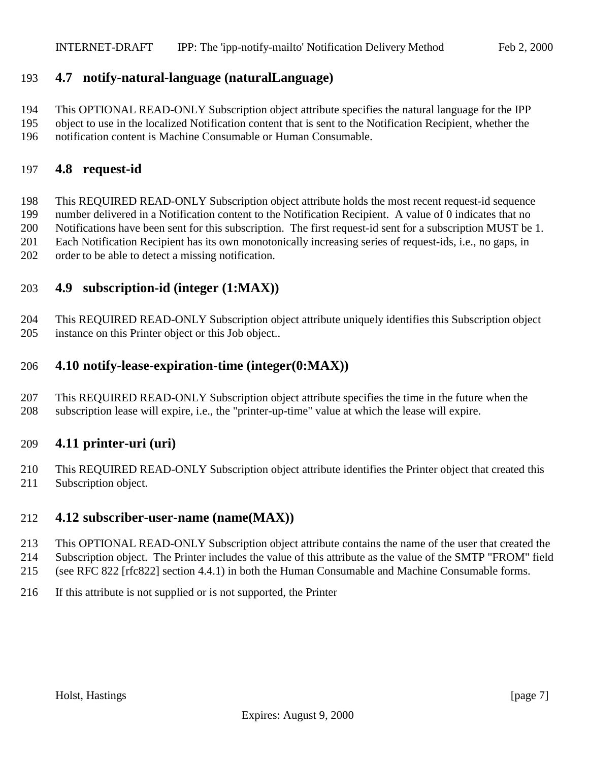# <span id="page-6-0"></span>**4.7 notify-natural-language (naturalLanguage)**

This OPTIONAL READ-ONLY Subscription object attribute specifies the natural language for the IPP

 object to use in the localized Notification content that is sent to the Notification Recipient, whether the notification content is Machine Consumable or Human Consumable.

#### **4.8 request-id**

 This REQUIRED READ-ONLY Subscription object attribute holds the most recent request-id sequence number delivered in a Notification content to the Notification Recipient. A value of 0 indicates that no Notifications have been sent for this subscription. The first request-id sent for a subscription MUST be 1. Each Notification Recipient has its own monotonically increasing series of request-ids, i.e., no gaps, in order to be able to detect a missing notification.

#### **4.9 subscription-id (integer (1:MAX))**

 This REQUIRED READ-ONLY Subscription object attribute uniquely identifies this Subscription object instance on this Printer object or this Job object..

#### **4.10 notify-lease-expiration-time (integer(0:MAX))**

 This REQUIRED READ-ONLY Subscription object attribute specifies the time in the future when the subscription lease will expire, i.e., the "printer-up-time" value at which the lease will expire.

#### **4.11 printer-uri (uri)**

 This REQUIRED READ-ONLY Subscription object attribute identifies the Printer object that created this Subscription object.

#### **4.12 subscriber-user-name (name(MAX))**

- This OPTIONAL READ-ONLY Subscription object attribute contains the name of the user that created the
- Subscription object. The Printer includes the value of this attribute as the value of the SMTP "FROM" field (see RFC 822 [rfc822] section 4.4.1) in both the Human Consumable and Machine Consumable forms.
- If this attribute is not supplied or is not supported, the Printer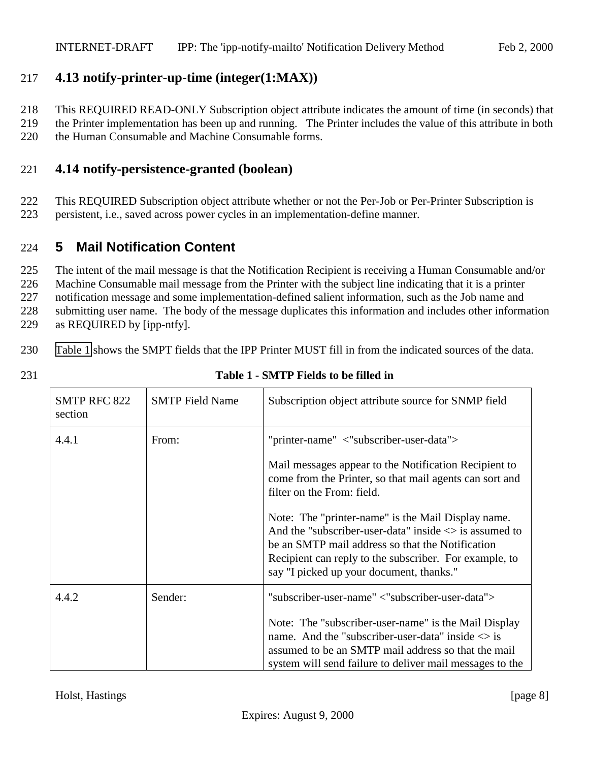# <span id="page-7-0"></span>217 **4.13 notify-printer-up-time (integer(1:MAX))**

218 This REQUIRED READ-ONLY Subscription object attribute indicates the amount of time (in seconds) that

219 the Printer implementation has been up and running. The Printer includes the value of this attribute in both 220 the Human Consumable and Machine Consumable forms.

#### 221 **4.14 notify-persistence-granted (boolean)**

222 This REQUIRED Subscription object attribute whether or not the Per-Job or Per-Printer Subscription is 223 persistent, i.e., saved across power cycles in an implementation-define manner.

# 224 **5 Mail Notification Content**

 The intent of the mail message is that the Notification Recipient is receiving a Human Consumable and/or Machine Consumable mail message from the Printer with the subject line indicating that it is a printer notification message and some implementation-defined salient information, such as the Job name and submitting user name. The body of the message duplicates this information and includes other information as REQUIRED by [ipp-ntfy].

230 Table 1 shows the SMPT fields that the IPP Printer MUST fill in from the indicated sources of the data.

| <b>SMTP RFC 822</b><br>section | <b>SMTP</b> Field Name | Subscription object attribute source for SNMP field                                                                                                                                                                                                                                                                      |
|--------------------------------|------------------------|--------------------------------------------------------------------------------------------------------------------------------------------------------------------------------------------------------------------------------------------------------------------------------------------------------------------------|
| 4.4.1                          | From:                  | "printer-name" <"subscriber-user-data"><br>Mail messages appear to the Notification Recipient to<br>come from the Printer, so that mail agents can sort and<br>filter on the From: field.<br>Note: The "printer-name" is the Mail Display name.<br>And the "subscriber-user-data" inside $\langle \rangle$ is assumed to |
|                                |                        | be an SMTP mail address so that the Notification<br>Recipient can reply to the subscriber. For example, to<br>say "I picked up your document, thanks."                                                                                                                                                                   |
| 4.4.2                          | Sender:                | "subscriber-user-name" <"subscriber-user-data"><br>Note: The "subscriber-user-name" is the Mail Display<br>name. And the "subscriber-user-data" inside $\langle \rangle$ is<br>assumed to be an SMTP mail address so that the mail<br>system will send failure to deliver mail messages to the                           |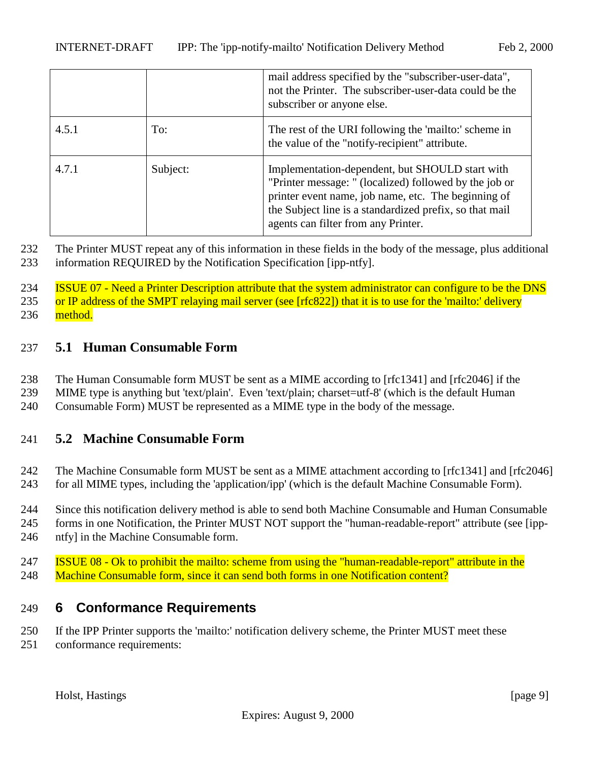<span id="page-8-0"></span>

|       |          | mail address specified by the "subscriber-user-data",<br>not the Printer. The subscriber-user-data could be the<br>subscriber or anyone else.                                                                                                                      |
|-------|----------|--------------------------------------------------------------------------------------------------------------------------------------------------------------------------------------------------------------------------------------------------------------------|
| 4.5.1 | To:      | The rest of the URI following the 'mailto:' scheme in<br>the value of the "notify-recipient" attribute.                                                                                                                                                            |
| 4.7.1 | Subject: | Implementation-dependent, but SHOULD start with<br>"Printer message: " (localized) followed by the job or<br>printer event name, job name, etc. The beginning of<br>the Subject line is a standardized prefix, so that mail<br>agents can filter from any Printer. |

232 The Printer MUST repeat any of this information in these fields in the body of the message, plus additional 233 information REQUIRED by the Notification Specification [ipp-ntfy].

234 **ISSUE 07 - Need a Printer Description attribute that the system administrator can configure to be the DNS** 235 or IP address of the SMPT relaying mail server (see [rfc822]) that it is to use for the 'mailto:' delivery 236 method.

#### 237 **5.1 Human Consumable Form**

- 238 The Human Consumable form MUST be sent as a MIME according to [rfc1341] and [rfc2046] if the
- 239 MIME type is anything but 'text/plain'. Even 'text/plain; charset=utf-8' (which is the default Human
- 240 Consumable Form) MUST be represented as a MIME type in the body of the message.

#### 241 **5.2 Machine Consumable Form**

242 The Machine Consumable form MUST be sent as a MIME attachment according to [rfc1341] and [rfc2046] 243 for all MIME types, including the 'application/ipp' (which is the default Machine Consumable Form).

- 244 Since this notification delivery method is able to send both Machine Consumable and Human Consumable
- 245 forms in one Notification, the Printer MUST NOT support the "human-readable-report" attribute (see [ipp-246 ntfy] in the Machine Consumable form.
- 247 ISSUE 08 Ok to prohibit the mailto: scheme from using the "human-readable-report" attribute in the 248 Machine Consumable form, since it can send both forms in one Notification content?

# 249 **6 Conformance Requirements**

250 If the IPP Printer supports the 'mailto:' notification delivery scheme, the Printer MUST meet these

251 conformance requirements: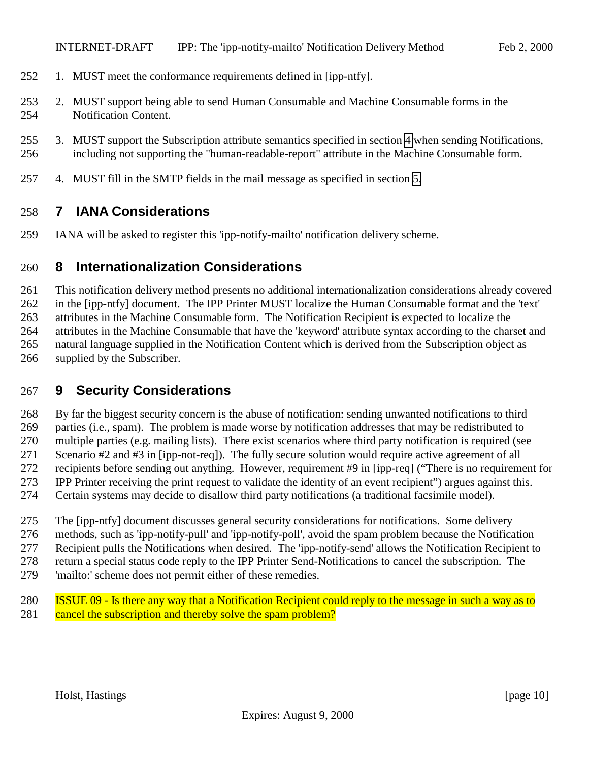- <span id="page-9-0"></span>1. MUST meet the conformance requirements defined in [ipp-ntfy].
- 2. MUST support being able to send Human Consumable and Machine Consumable forms in the Notification Content.
- 3. MUST support the Subscription attribute semantics specified in section [4](#page-4-0) when sending Notifications, including not supporting the "human-readable-report" attribute in the Machine Consumable form.
- 4. MUST fill in the SMTP fields in the mail message as specified in section [5.](#page-7-0)

#### **7 IANA Considerations**

IANA will be asked to register this 'ipp-notify-mailto' notification delivery scheme.

#### **8 Internationalization Considerations**

 This notification delivery method presents no additional internationalization considerations already covered in the [ipp-ntfy] document. The IPP Printer MUST localize the Human Consumable format and the 'text' attributes in the Machine Consumable form. The Notification Recipient is expected to localize the attributes in the Machine Consumable that have the 'keyword' attribute syntax according to the charset and natural language supplied in the Notification Content which is derived from the Subscription object as supplied by the Subscriber.

# **9 Security Considerations**

 By far the biggest security concern is the abuse of notification: sending unwanted notifications to third parties (i.e., spam). The problem is made worse by notification addresses that may be redistributed to multiple parties (e.g. mailing lists). There exist scenarios where third party notification is required (see Scenario #2 and #3 in [ipp-not-req]). The fully secure solution would require active agreement of all recipients before sending out anything. However, requirement #9 in [ipp-req] ("There is no requirement for IPP Printer receiving the print request to validate the identity of an event recipient") argues against this. Certain systems may decide to disallow third party notifications (a traditional facsimile model).

The [ipp-ntfy] document discusses general security considerations for notifications. Some delivery

methods, such as 'ipp-notify-pull' and 'ipp-notify-poll', avoid the spam problem because the Notification

Recipient pulls the Notifications when desired. The 'ipp-notify-send' allows the Notification Recipient to

return a special status code reply to the IPP Printer Send-Notifications to cancel the subscription. The

- 'mailto:' scheme does not permit either of these remedies.
- ISSUE 09 Is there any way that a Notification Recipient could reply to the message in such a way as to 281 cancel the subscription and thereby solve the spam problem?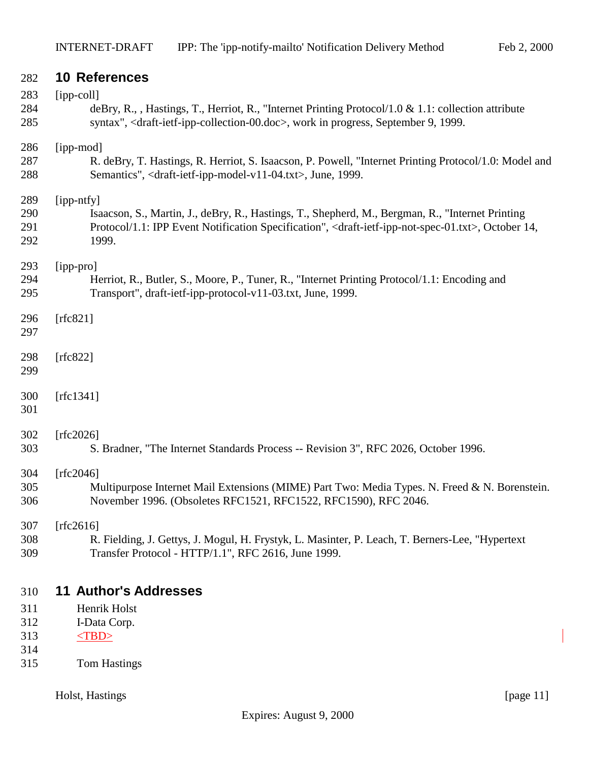<span id="page-10-0"></span>

| 282        | <b>10 References</b>                                                                                                                |  |  |
|------------|-------------------------------------------------------------------------------------------------------------------------------------|--|--|
| 283        | $[ipp-coll]$                                                                                                                        |  |  |
| 284        | deBry, R., , Hastings, T., Herriot, R., "Internet Printing Protocol/1.0 & 1.1: collection attribute                                 |  |  |
| 285        | syntax", <draft-ietf-ipp-collection-00.doc>, work in progress, September 9, 1999.</draft-ietf-ipp-collection-00.doc>                |  |  |
| 286        | [ipp-mod]                                                                                                                           |  |  |
| 287        | R. deBry, T. Hastings, R. Herriot, S. Isaacson, P. Powell, "Internet Printing Protocol/1.0: Model and                               |  |  |
| 288        | Semantics", <draft-ietf-ipp-model-v11-04.txt>, June, 1999.</draft-ietf-ipp-model-v11-04.txt>                                        |  |  |
| 289        | [ipp-ntfy]                                                                                                                          |  |  |
| 290        | Isaacson, S., Martin, J., deBry, R., Hastings, T., Shepherd, M., Bergman, R., "Internet Printing                                    |  |  |
| 291        | Protocol/1.1: IPP Event Notification Specification", <draft-ietf-ipp-not-spec-01.txt>, October 14,</draft-ietf-ipp-not-spec-01.txt> |  |  |
| 292        | 1999.                                                                                                                               |  |  |
| 293        | [ipp-pro]                                                                                                                           |  |  |
| 294        | Herriot, R., Butler, S., Moore, P., Tuner, R., "Internet Printing Protocol/1.1: Encoding and                                        |  |  |
| 295        | Transport", draft-ietf-ipp-protocol-v11-03.txt, June, 1999.                                                                         |  |  |
| 296        | [ $rfc821$ ]                                                                                                                        |  |  |
| 297        |                                                                                                                                     |  |  |
| 298        | [ $rfc822$ ]                                                                                                                        |  |  |
| 299        |                                                                                                                                     |  |  |
| 300        | [ $rfc1341$ ]                                                                                                                       |  |  |
| 301        |                                                                                                                                     |  |  |
|            |                                                                                                                                     |  |  |
| 302<br>303 | [rfc2026]<br>S. Bradner, "The Internet Standards Process -- Revision 3", RFC 2026, October 1996.                                    |  |  |
|            |                                                                                                                                     |  |  |
| 304        | [ $rfc2046$ ]                                                                                                                       |  |  |
| 305        | Multipurpose Internet Mail Extensions (MIME) Part Two: Media Types. N. Freed & N. Borenstein.                                       |  |  |
| 306        | November 1996. (Obsoletes RFC1521, RFC1522, RFC1590), RFC 2046.                                                                     |  |  |
| 307        | [ $rfc2616$ ]                                                                                                                       |  |  |
| 308        | R. Fielding, J. Gettys, J. Mogul, H. Frystyk, L. Masinter, P. Leach, T. Berners-Lee, "Hypertext                                     |  |  |
| 309        | Transfer Protocol - HTTP/1.1", RFC 2616, June 1999.                                                                                 |  |  |
|            |                                                                                                                                     |  |  |
| 310        | <b>11 Author's Addresses</b>                                                                                                        |  |  |
| 311        | Henrik Holst                                                                                                                        |  |  |
| 312        | I-Data Corp.                                                                                                                        |  |  |
| 313<br>314 | $<$ TBD>                                                                                                                            |  |  |
| 315        | <b>Tom Hastings</b>                                                                                                                 |  |  |
|            |                                                                                                                                     |  |  |

Holst, Hastings [page 11]